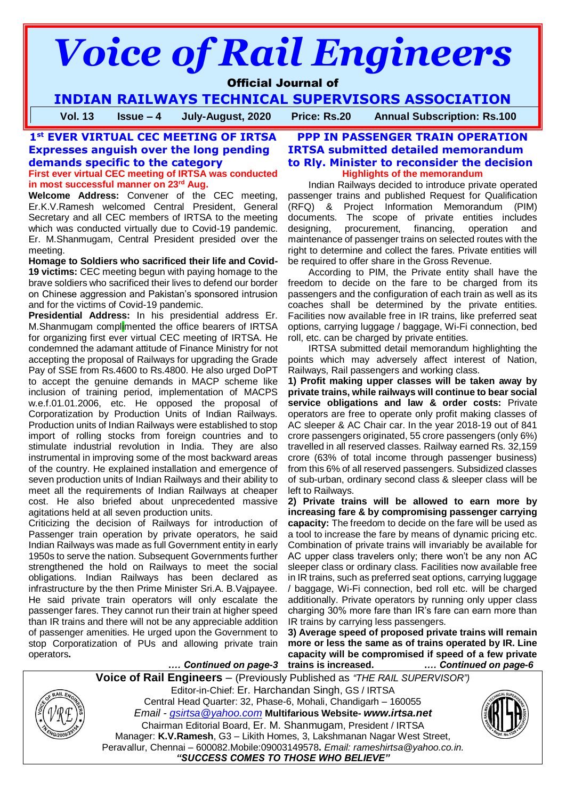# *Voice of Rail Engineers*

Official Journal of

**INDIAN RAILWAYS TECHNICAL SUPERVISORS ASSOCIATION**

**Vol. 13 Issue – 4 July-August, 2020 Price: Rs.20 Annual Subscription: Rs.100**

# **1 st EVER VIRTUAL CEC MEETING OF IRTSA Expresses anguish over the long pending demands specific to the category**

**First ever virtual CEC meeting of IRTSA was conducted in most successful manner on 23rd Aug.**

**Welcome Address:** Convener of the CEC meeting, Er.K.V.Ramesh welcomed Central President, General Secretary and all CEC members of IRTSA to the meeting which was conducted virtually due to Covid-19 pandemic. Er. M.Shanmugam, Central President presided over the meeting.

**Homage to Soldiers who sacrificed their life and Covid-19 victims:** CEC meeting begun with paying homage to the brave soldiers who sacrificed their lives to defend our border on Chinese aggression and Pakistan's sponsored intrusion and for the victims of Covid-19 pandemic.

**Presidential Address:** In his presidential address Er. M.Shanmugam complimented the office bearers of IRTSA for organizing first ever virtual CEC meeting of IRTSA. He condemned the adamant attitude of Finance Ministry for not accepting the proposal of Railways for upgrading the Grade Pay of SSE from Rs.4600 to Rs.4800. He also urged DoPT to accept the genuine demands in MACP scheme like inclusion of training period, implementation of MACPS w.e.f.01.01.2006, etc. He opposed the proposal of Corporatization by Production Units of Indian Railways. Production units of Indian Railways were established to stop import of rolling stocks from foreign countries and to stimulate industrial revolution in India. They are also instrumental in improving some of the most backward areas of the country. He explained installation and emergence of seven production units of Indian Railways and their ability to meet all the requirements of Indian Railways at cheaper cost. He also briefed about unprecedented massive agitations held at all seven production units.

Criticizing the decision of Railways for introduction of Passenger train operation by private operators, he said Indian Railways was made as full Government entity in early 1950s to serve the nation. Subsequent Governments further strengthened the hold on Railways to meet the social obligations. Indian Railways has been declared as infrastructure by the then Prime Minister Sri.A. B.Vajpayee. He said private train operators will only escalate the passenger fares. They cannot run their train at higher speed than IR trains and there will not be any appreciable addition of passenger amenities. He urged upon the Government to stop Corporatization of PUs and allowing private train operators**.**

# **PPP IN PASSENGER TRAIN OPERATION IRTSA submitted detailed memorandum to Rly. Minister to reconsider the decision Highlights of the memorandum**

Indian Railways decided to introduce private operated passenger trains and published Request for Qualification (RFQ) & Project Information Memorandum (PIM) documents. The scope of private entities includes designing, procurement, financing, operation and maintenance of passenger trains on selected routes with the right to determine and collect the fares. Private entities will be required to offer share in the Gross Revenue.

According to PIM, the Private entity shall have the freedom to decide on the fare to be charged from its passengers and the configuration of each train as well as its coaches shall be determined by the private entities. Facilities now available free in IR trains, like preferred seat options, carrying luggage / baggage, Wi-Fi connection, bed roll, etc. can be charged by private entities.

IRTSA submitted detail memorandum highlighting the points which may adversely affect interest of Nation, Railways, Rail passengers and working class.

**1) Profit making upper classes will be taken away by private trains, while railways will continue to bear social service obligations and law & order costs:** Private operators are free to operate only profit making classes of AC sleeper & AC Chair car. In the year 2018-19 out of 841 crore passengers originated, 55 crore passengers (only 6%) travelled in all reserved classes. Railway earned Rs. 32,159 crore (63% of total income through passenger business) from this 6% of all reserved passengers. Subsidized classes of sub-urban, ordinary second class & sleeper class will be left to Railways.

**2) Private trains will be allowed to earn more by increasing fare & by compromising passenger carrying capacity:** The freedom to decide on the fare will be used as a tool to increase the fare by means of dynamic pricing etc. Combination of private trains will invariably be available for AC upper class travelers only; there won't be any non AC sleeper class or ordinary class. Facilities now available free in IR trains, such as preferred seat options, carrying luggage / baggage, Wi-Fi connection, bed roll etc. will be charged additionally. Private operators by running only upper class charging 30% more fare than IR's fare can earn more than IR trains by carrying less passengers.

**.***… Continued on page-3* **3) Average speed of proposed private trains will remain more or less the same as of trains operated by IR. Line capacity will be compromised if speed of a few private trains is increased. .***… Continued on page-6*

**Voice of Rail Engineers** – (Previously Published as *"THE RAIL SUPERVISOR")*



Editor-in-Chief: Er. Harchandan Singh, GS / IRTSA Central Head Quarter: 32, Phase-6, Mohali, Chandigarh – 160055 *Email - [gsirtsa@yahoo.com](mailto:gsirtsa@yahoo.com)* **Multifarious Website-** *[www.irtsa.net](http://www.irtsa.net/)* Chairman Editorial Board, Er. M. Shanmugam, President / IRTSA Manager: **K.V.Ramesh**, G3 – Likith Homes, 3, Lakshmanan Nagar West Street, Peravallur, Chennai – 600082.Mobile:09003149578**.** *Email: [rameshirtsa@yahoo.co.in.](mailto:rameshirtsa@yahoo.co.in) "SUCCESS COMES TO THOSE WHO BELIEVE"*

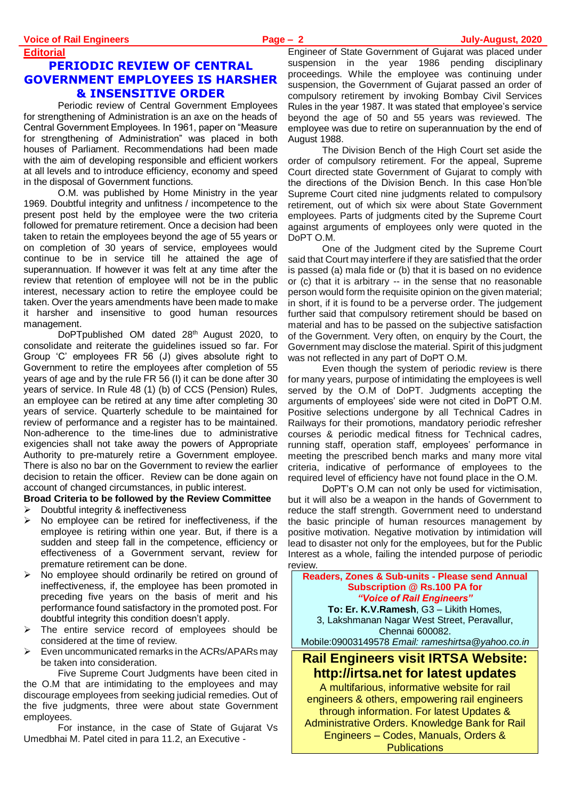**Editorial**

# **PERIODIC REVIEW OF CENTRAL GOVERNMENT EMPLOYEES IS HARSHER & INSENSITIVE ORDER**

Periodic review of Central Government Employees for strengthening of Administration is an axe on the heads of Central Government Employees. In 1961, paper on "Measure for strengthening of Administration" was placed in both houses of Parliament. Recommendations had been made with the aim of developing responsible and efficient workers at all levels and to introduce efficiency, economy and speed in the disposal of Government functions.

O.M. was published by Home Ministry in the year 1969. Doubtful integrity and unfitness / incompetence to the present post held by the employee were the two criteria followed for premature retirement. Once a decision had been taken to retain the employees beyond the age of 55 years or on completion of 30 years of service, employees would continue to be in service till he attained the age of superannuation. If however it was felt at any time after the review that retention of employee will not be in the public interest, necessary action to retire the employee could be taken. Over the years amendments have been made to make it harsher and insensitive to good human resources management.

DoPTpublished OM dated 28<sup>th</sup> August 2020, to consolidate and reiterate the guidelines issued so far. For Group 'C' employees FR 56 (J) gives absolute right to Government to retire the employees after completion of 55 years of age and by the rule FR 56 (I) it can be done after 30 years of service. In Rule 48 (1) (b) of CCS (Pension) Rules, an employee can be retired at any time after completing 30 years of service. Quarterly schedule to be maintained for review of performance and a register has to be maintained. Non-adherence to the time-lines due to administrative exigencies shall not take away the powers of Appropriate Authority to pre-maturely retire a Government employee. There is also no bar on the Government to review the earlier decision to retain the officer. Review can be done again on account of changed circumstances, in public interest.

**Broad Criteria to be followed by the Review Committee**

- $\triangleright$  Doubtful integrity & ineffectiveness
- $\triangleright$  No employee can be retired for ineffectiveness, if the employee is retiring within one year. But, if there is a sudden and steep fall in the competence, efficiency or effectiveness of a Government servant, review for premature retirement can be done.
- No employee should ordinarily be retired on ground of ineffectiveness, if, the employee has been promoted in preceding five years on the basis of merit and his performance found satisfactory in the promoted post. For doubtful integrity this condition doesn't apply.
- The entire service record of employees should be considered at the time of review.
- Even uncommunicated remarks in the ACRs/APARs may be taken into consideration.

Five Supreme Court Judgments have been cited in the O.M that are intimidating to the employees and may discourage employees from seeking judicial remedies. Out of the five judgments, three were about state Government employees.

For instance, in the case of State of Gujarat Vs Umedbhai M. Patel cited in para 11.2, an Executive -

Engineer of State Government of Gujarat was placed under suspension in the year 1986 pending disciplinary proceedings. While the employee was continuing under suspension, the Government of Gujarat passed an order of compulsory retirement by invoking Bombay Civil Services Rules in the year 1987. It was stated that employee's service beyond the age of 50 and 55 years was reviewed. The employee was due to retire on superannuation by the end of August 1988.

The Division Bench of the High Court set aside the order of compulsory retirement. For the appeal, Supreme Court directed state Government of Gujarat to comply with the directions of the Division Bench. In this case Hon'ble Supreme Court cited nine judgments related to compulsory retirement, out of which six were about State Government employees. Parts of judgments cited by the Supreme Court against arguments of employees only were quoted in the DoPT O.M.

One of the Judgment cited by the Supreme Court said that Court may interfere if they are satisfied that the order is passed (a) mala fide or (b) that it is based on no evidence or (c) that it is arbitrary -- in the sense that no reasonable person would form the requisite opinion on the given material; in short, if it is found to be a perverse order. The judgement further said that compulsory retirement should be based on material and has to be passed on the subjective satisfaction of the Government. Very often, on enquiry by the Court, the Government may disclose the material. Spirit of this judgment was not reflected in any part of DoPT O.M.

Even though the system of periodic review is there for many years, purpose of intimidating the employees is well served by the O.M of DoPT. Judgments accepting the arguments of employees' side were not cited in DoPT O.M. Positive selections undergone by all Technical Cadres in Railways for their promotions, mandatory periodic refresher courses & periodic medical fitness for Technical cadres, running staff, operation staff, employees' performance in meeting the prescribed bench marks and many more vital criteria, indicative of performance of employees to the required level of efficiency have not found place in the O.M.

DoPT's O.M can not only be used for victimisation, but it will also be a weapon in the hands of Government to reduce the staff strength. Government need to understand the basic principle of human resources management by positive motivation. Negative motivation by intimidation will lead to disaster not only for the employees, but for the Public Interest as a whole, failing the intended purpose of periodic review.

**Readers, Zones & Sub-units - Please send Annual Subscription @ Rs.100 PA for**  *"Voice of Rail Engineers"* **To: Er. K.V.Ramesh**, G3 – Likith Homes, 3, Lakshmanan Nagar West Street, Peravallur, Chennai 600082. Mobile:09003149578 *Email: [rameshirtsa@yahoo.co.in](mailto:rameshirtsa@yahoo.co.in)* **Rail Engineers visit IRTSA Website: http://irtsa.net for latest updates**

A multifarious, informative website for rail engineers & others, empowering rail engineers through information. For latest Updates & Administrative Orders. Knowledge Bank for Rail Engineers – Codes, Manuals, Orders & **Publications**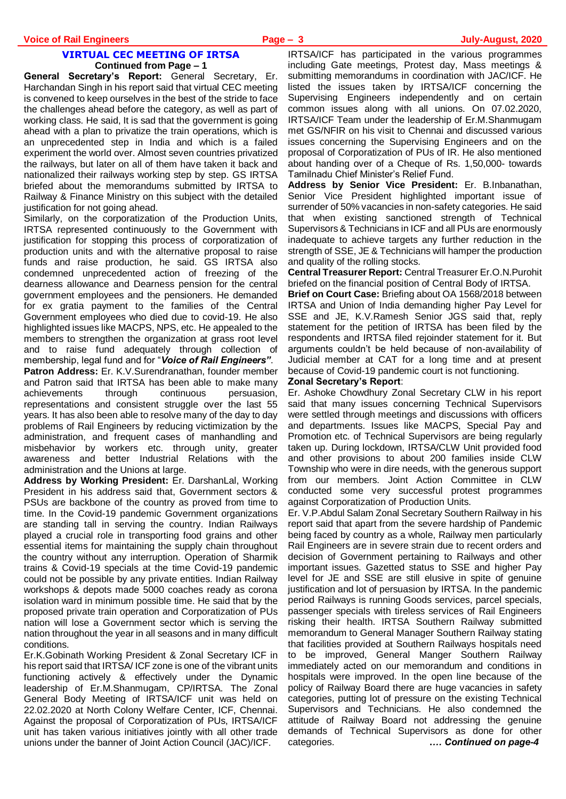#### **VIRTUAL CEC MEETING OF IRTSA Continued from Page – 1**

**General Secretary's Report:** General Secretary, Er. Harchandan Singh in his report said that virtual CEC meeting is convened to keep ourselves in the best of the stride to face the challenges ahead before the category, as well as part of working class. He said, It is sad that the government is going ahead with a plan to privatize the train operations, which is an unprecedented step in India and which is a failed experiment the world over. Almost seven countries privatized the railways, but later on all of them have taken it back and nationalized their railways working step by step. GS IRTSA briefed about the memorandums submitted by IRTSA to Railway & Finance Ministry on this subject with the detailed justification for not going ahead.

Similarly, on the corporatization of the Production Units, IRTSA represented continuously to the Government with justification for stopping this process of corporatization of production units and with the alternative proposal to raise funds and raise production, he said. GS IRTSA also condemned unprecedented action of freezing of the dearness allowance and Dearness pension for the central government employees and the pensioners. He demanded for ex gratia payment to the families of the Central Government employees who died due to covid-19. He also highlighted issues like MACPS, NPS, etc. He appealed to the members to strengthen the organization at grass root level and to raise fund adequately through collection of membership, legal fund and for "*Voice of Rail Engineers"*.

**Patron Address:** Er. K.V.Surendranathan, founder member and Patron said that IRTSA has been able to make many achievements through continuous persuasion, representations and consistent struggle over the last 55 years. It has also been able to resolve many of the day to day problems of Rail Engineers by reducing victimization by the administration, and frequent cases of manhandling and misbehavior by workers etc. through unity, greater awareness and better Industrial Relations with the administration and the Unions at large.

**Address by Working President:** Er. DarshanLal, Working President in his address said that, Government sectors & PSUs are backbone of the country as proved from time to time. In the Covid-19 pandemic Government organizations are standing tall in serving the country. Indian Railways played a crucial role in transporting food grains and other essential items for maintaining the supply chain throughout the country without any interruption. Operation of Sharmik trains & Covid-19 specials at the time Covid-19 pandemic could not be possible by any private entities. Indian Railway workshops & depots made 5000 coaches ready as corona isolation ward in minimum possible time. He said that by the proposed private train operation and Corporatization of PUs nation will lose a Government sector which is serving the nation throughout the year in all seasons and in many difficult conditions.

Er.K.Gobinath Working President & Zonal Secretary ICF in his report said that IRTSA/ ICF zone is one of the vibrant units functioning actively & effectively under the Dynamic leadership of Er.M.Shanmugam, CP/IRTSA. The Zonal General Body Meeting of IRTSA/ICF unit was held on 22.02.2020 at North Colony Welfare Center, ICF, Chennai. Against the proposal of Corporatization of PUs, IRTSA/ICF unit has taken various initiatives jointly with all other trade unions under the banner of Joint Action Council (JAC)/ICF.

IRTSA/ICF has participated in the various programmes including Gate meetings, Protest day, Mass meetings & submitting memorandums in coordination with JAC/ICF. He listed the issues taken by IRTSA/ICF concerning the Supervising Engineers independently and on certain common issues along with all unions. On 07.02.2020, IRTSA/ICF Team under the leadership of Er.M.Shanmugam met GS/NFIR on his visit to Chennai and discussed various issues concerning the Supervising Engineers and on the proposal of Corporatization of PUs of IR. He also mentioned about handing over of a Cheque of Rs. 1,50,000- towards Tamilnadu Chief Minister's Relief Fund.

**Address by Senior Vice President:** Er. B.Inbanathan, Senior Vice President highlighted important issue of surrender of 50% vacancies in non-safety categories. He said that when existing sanctioned strength of Technical Supervisors & Technicians in ICF and all PUs are enormously inadequate to achieve targets any further reduction in the strength of SSE, JE & Technicians will hamper the production and quality of the rolling stocks.

**Central Treasurer Report:** Central Treasurer Er.O.N.Purohit briefed on the financial position of Central Body of IRTSA.

**Brief on Court Case:** Briefing about OA 1568/2018 between IRTSA and Union of India demanding higher Pay Level for SSE and JE, K.V.Ramesh Senior JGS said that, reply statement for the petition of IRTSA has been filed by the respondents and IRTSA filed rejoinder statement for it. But arguments couldn't be held because of non-availability of Judicial member at CAT for a long time and at present because of Covid-19 pandemic court is not functioning.

#### **Zonal Secretary's Report**:

Er. Ashoke Chowdhury Zonal Secretary CLW in his report said that many issues concerning Technical Supervisors were settled through meetings and discussions with officers and departments. Issues like MACPS, Special Pay and Promotion etc. of Technical Supervisors are being regularly taken up. During lockdown, IRTSA/CLW Unit provided food and other provisions to about 200 families inside CLW Township who were in dire needs, with the generous support from our members. Joint Action Committee in CLW conducted some very successful protest programmes against Corporatization of Production Units.

Er. V.P.Abdul Salam Zonal Secretary Southern Railway in his report said that apart from the severe hardship of Pandemic being faced by country as a whole, Railway men particularly Rail Engineers are in severe strain due to recent orders and decision of Government pertaining to Railways and other important issues. Gazetted status to SSE and higher Pay level for JE and SSE are still elusive in spite of genuine justification and lot of persuasion by IRTSA. In the pandemic period Railways is running Goods services, parcel specials, passenger specials with tireless services of Rail Engineers risking their health. IRTSA Southern Railway submitted memorandum to General Manager Southern Railway stating that facilities provided at Southern Railways hospitals need to be improved, General Manger Southern Railway immediately acted on our memorandum and conditions in hospitals were improved. In the open line because of the policy of Railway Board there are huge vacancies in safety categories, putting lot of pressure on the existing Technical Supervisors and Technicians. He also condemned the attitude of Railway Board not addressing the genuine demands of Technical Supervisors as done for other categories. **.***… Continued on page-4*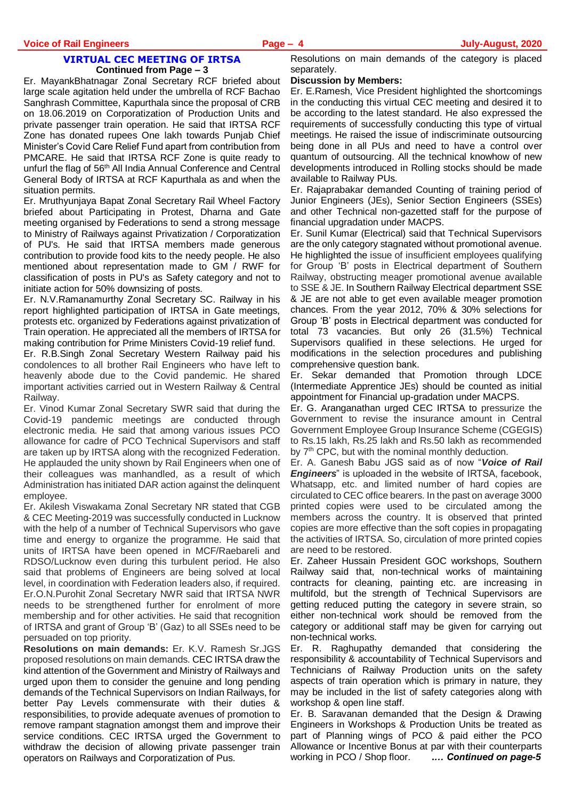#### **VIRTUAL CEC MEETING OF IRTSA Continued from Page – 3**

Er. MayankBhatnagar Zonal Secretary RCF briefed about large scale agitation held under the umbrella of RCF Bachao Sanghrash Committee, Kapurthala since the proposal of CRB on 18.06.2019 on Corporatization of Production Units and private passenger train operation. He said that IRTSA RCF Zone has donated rupees One lakh towards Punjab Chief Minister's Covid Care Relief Fund apart from contribution from PMCARE. He said that IRTSA RCF Zone is quite ready to unfurl the flag of 56<sup>th</sup> All India Annual Conference and Central General Body of IRTSA at RCF Kapurthala as and when the situation permits.

Er. Mruthyunjaya Bapat Zonal Secretary Rail Wheel Factory briefed about Participating in Protest, Dharna and Gate meeting organised by Federations to send a strong message to Ministry of Railways against Privatization / Corporatization of PU's. He said that IRTSA members made generous contribution to provide food kits to the needy people. He also mentioned about representation made to GM / RWF for classification of posts in PU's as Safety category and not to initiate action for 50% downsizing of posts.

Er. N.V.Ramanamurthy Zonal Secretary SC. Railway in his report highlighted participation of IRTSA in Gate meetings, protests etc. organized by Federations against privatization of Train operation. He appreciated all the members of IRTSA for making contribution for Prime Ministers Covid-19 relief fund.

Er. R.B.Singh Zonal Secretary Western Railway paid his condolences to all brother Rail Engineers who have left to heavenly abode due to the Covid pandemic. He shared important activities carried out in Western Railway & Central Railway.

Er. Vinod Kumar Zonal Secretary SWR said that during the Covid-19 pandemic meetings are conducted through electronic media. He said that among various issues PCO allowance for cadre of PCO Technical Supervisors and staff are taken up by IRTSA along with the recognized Federation. He applauded the unity shown by Rail Engineers when one of their colleagues was manhandled, as a result of which Administration has initiated DAR action against the delinquent employee.

Er. Akilesh Viswakama Zonal Secretary NR stated that CGB & CEC Meeting-2019 was successfully conducted in Lucknow with the help of a number of Technical Supervisors who gave time and energy to organize the programme. He said that units of IRTSA have been opened in MCF/Raebareli and RDSO/Lucknow even during this turbulent period. He also said that problems of Engineers are being solved at local level, in coordination with Federation leaders also, if required. Er.O.N.Purohit Zonal Secretary NWR said that IRTSA NWR needs to be strengthened further for enrolment of more membership and for other activities. He said that recognition of IRTSA and grant of Group 'B' (Gaz) to all SSEs need to be persuaded on top priority.

**Resolutions on main demands:** Er. K.V. Ramesh Sr.JGS proposed resolutions on main demands. CEC IRTSA draw the kind attention of the Government and Ministry of Railways and urged upon them to consider the genuine and long pending demands of the Technical Supervisors on Indian Railways, for better Pay Levels commensurate with their duties & responsibilities, to provide adequate avenues of promotion to remove rampant stagnation amongst them and improve their service conditions. CEC IRTSA urged the Government to withdraw the decision of allowing private passenger train operators on Railways and Corporatization of Pus.

Resolutions on main demands of the category is placed separately.

#### **Discussion by Members:**

Er. E.Ramesh, Vice President highlighted the shortcomings in the conducting this virtual CEC meeting and desired it to be according to the latest standard. He also expressed the requirements of successfully conducting this type of virtual meetings. He raised the issue of indiscriminate outsourcing being done in all PUs and need to have a control over quantum of outsourcing. All the technical knowhow of new developments introduced in Rolling stocks should be made available to Railway PUs.

Er. Rajaprabakar demanded Counting of training period of Junior Engineers (JEs), Senior Section Engineers (SSEs) and other Technical non-gazetted staff for the purpose of financial upgradation under MACPS.

Er. Sunil Kumar (Electrical) said that Technical Supervisors are the only category stagnated without promotional avenue. He highlighted the issue of insufficient employees qualifying for Group 'B' posts in Electrical department of Southern Railway, obstructing meager promotional avenue available to SSE & JE. In Southern Railway Electrical department SSE & JE are not able to get even available meager promotion chances. From the year 2012, 70% & 30% selections for Group 'B' posts in Electrical department was conducted for total 73 vacancies. But only 26 (31.5%) Technical Supervisors qualified in these selections. He urged for modifications in the selection procedures and publishing comprehensive question bank.

Er. Sekar demanded that Promotion through LDCE (Intermediate Apprentice JEs) should be counted as initial appointment for Financial up-gradation under MACPS.

Er. G. Aranganathan urged CEC IRTSA to pressurize the Government to revise the insurance amount in Central Government Employee Group Insurance Scheme (CGEGIS) to Rs.15 lakh, Rs.25 lakh and Rs.50 lakh as recommended by 7<sup>th</sup> CPC, but with the nominal monthly deduction.

Er. A. Ganesh Babu JGS said as of now "*Voice of Rail Engineers*" is uploaded in the website of IRTSA, facebook, Whatsapp, etc. and limited number of hard copies are circulated to CEC office bearers. In the past on average 3000 printed copies were used to be circulated among the members across the country. It is observed that printed copies are more effective than the soft copies in propagating the activities of IRTSA. So, circulation of more printed copies are need to be restored.

Er. Zaheer Hussain President GOC workshops, Southern Railway said that, non-technical works of maintaining contracts for cleaning, painting etc. are increasing in multifold, but the strength of Technical Supervisors are getting reduced putting the category in severe strain, so either non-technical work should be removed from the category or additional staff may be given for carrying out non-technical works.

Er. R. Raghupathy demanded that considering the responsibility & accountability of Technical Supervisors and Technicians of Railway Production units on the safety aspects of train operation which is primary in nature, they may be included in the list of safety categories along with workshop & open line staff.

Er. B. Saravanan demanded that the Design & Drawing Engineers in Workshops & Production Units be treated as part of Planning wings of PCO & paid either the PCO Allowance or Incentive Bonus at par with their counterparts<br>working in PCO / Shop floor. .... **Continued on page-5** working in PCO / Shop floor.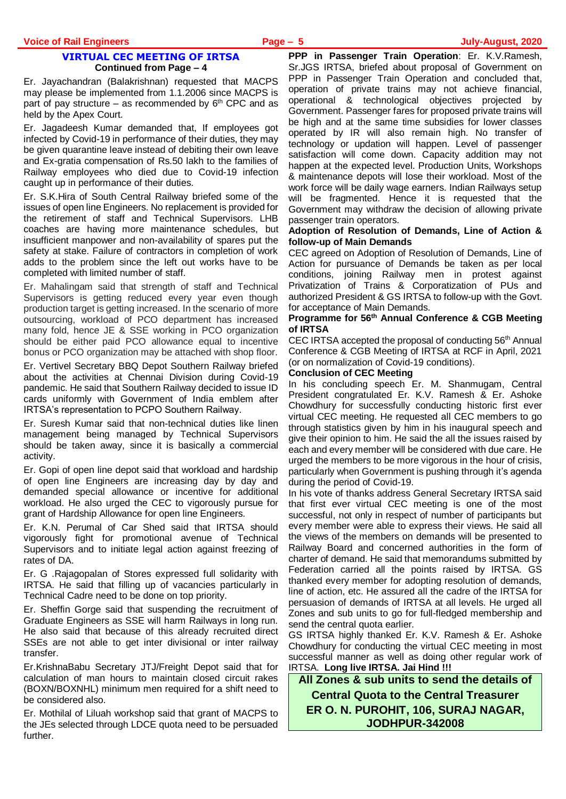#### **VIRTUAL CEC MEETING OF IRTSA Continued from Page – 4**

Er. Jayachandran (Balakrishnan) requested that MACPS may please be implemented from 1.1.2006 since MACPS is part of pay structure – as recommended by  $6<sup>th</sup>$  CPC and as held by the Apex Court.

Er. Jagadeesh Kumar demanded that, If employees got infected by Covid-19 in performance of their duties, they may be given quarantine leave instead of debiting their own leave and Ex-gratia compensation of Rs.50 lakh to the families of Railway employees who died due to Covid-19 infection caught up in performance of their duties.

Er. S.K.Hira of South Central Railway briefed some of the issues of open line Engineers. No replacement is provided for the retirement of staff and Technical Supervisors. LHB coaches are having more maintenance schedules, but insufficient manpower and non-availability of spares put the safety at stake. Failure of contractors in completion of work adds to the problem since the left out works have to be completed with limited number of staff.

Er. Mahalingam said that strength of staff and Technical Supervisors is getting reduced every year even though production target is getting increased. In the scenario of more outsourcing, workload of PCO department has increased many fold, hence JE & SSE working in PCO organization should be either paid PCO allowance equal to incentive bonus or PCO organization may be attached with shop floor.

Er. Vertivel Secretary BBQ Depot Southern Railway briefed about the activities at Chennai Division during Covid-19 pandemic. He said that Southern Railway decided to issue ID cards uniformly with Government of India emblem after IRTSA's representation to PCPO Southern Railway.

Er. Suresh Kumar said that non-technical duties like linen management being managed by Technical Supervisors should be taken away, since it is basically a commercial activity.

Er. Gopi of open line depot said that workload and hardship of open line Engineers are increasing day by day and demanded special allowance or incentive for additional workload. He also urged the CEC to vigorously pursue for grant of Hardship Allowance for open line Engineers.

Er. K.N. Perumal of Car Shed said that IRTSA should vigorously fight for promotional avenue of Technical Supervisors and to initiate legal action against freezing of rates of DA.

Er. G .Rajagopalan of Stores expressed full solidarity with IRTSA. He said that filling up of vacancies particularly in Technical Cadre need to be done on top priority.

Er. Sheffin Gorge said that suspending the recruitment of Graduate Engineers as SSE will harm Railways in long run. He also said that because of this already recruited direct SSEs are not able to get inter divisional or inter railway transfer.

Er.KrishnaBabu Secretary JTJ/Freight Depot said that for calculation of man hours to maintain closed circuit rakes (BOXN/BOXNHL) minimum men required for a shift need to be considered also.

Er. Mothilal of Liluah workshop said that grant of MACPS to the JEs selected through LDCE quota need to be persuaded further.

**PPP in Passenger Train Operation**: Er. K.V.Ramesh, Sr.JGS IRTSA, briefed about proposal of Government on PPP in Passenger Train Operation and concluded that, operation of private trains may not achieve financial, operational & technological objectives projected by Government. Passenger fares for proposed private trains will be high and at the same time subsidies for lower classes operated by IR will also remain high. No transfer of technology or updation will happen. Level of passenger satisfaction will come down. Capacity addition may not happen at the expected level. Production Units, Workshops & maintenance depots will lose their workload. Most of the work force will be daily wage earners. Indian Railways setup will be fragmented. Hence it is requested that the Government may withdraw the decision of allowing private passenger train operators.

#### **Adoption of Resolution of Demands, Line of Action & follow-up of Main Demands**

CEC agreed on Adoption of Resolution of Demands, Line of Action for pursuance of Demands be taken as per local conditions, joining Railway men in protest against Privatization of Trains & Corporatization of PUs and authorized President & GS IRTSA to follow-up with the Govt. for acceptance of Main Demands.

#### **Programme for 56th Annual Conference & CGB Meeting of IRTSA**

CEC IRTSA accepted the proposal of conducting 56<sup>th</sup> Annual Conference & CGB Meeting of IRTSA at RCF in April, 2021 (or on normalization of Covid-19 conditions).

#### **Conclusion of CEC Meeting**

In his concluding speech Er. M. Shanmugam, Central President congratulated Er. K.V. Ramesh & Er. Ashoke Chowdhury for successfully conducting historic first ever virtual CEC meeting. He requested all CEC members to go through statistics given by him in his inaugural speech and give their opinion to him. He said the all the issues raised by each and every member will be considered with due care. He urged the members to be more vigorous in the hour of crisis, particularly when Government is pushing through it's agenda during the period of Covid-19.

In his vote of thanks address General Secretary IRTSA said that first ever virtual CEC meeting is one of the most successful, not only in respect of number of participants but every member were able to express their views. He said all the views of the members on demands will be presented to Railway Board and concerned authorities in the form of charter of demand. He said that memorandums submitted by Federation carried all the points raised by IRTSA. GS thanked every member for adopting resolution of demands, line of action, etc. He assured all the cadre of the IRTSA for persuasion of demands of IRTSA at all levels. He urged all Zones and sub units to go for full-fledged membership and send the central quota earlier.

GS IRTSA highly thanked Er. K.V. Ramesh & Er. Ashoke Chowdhury for conducting the virtual CEC meeting in most successful manner as well as doing other regular work of IRTSA. **Long live IRTSA. Jai Hind !!!**

**All Zones & sub units to send the details of Central Quota to the Central Treasurer ER O. N. PUROHIT, 106, SURAJ NAGAR, JODHPUR-342008**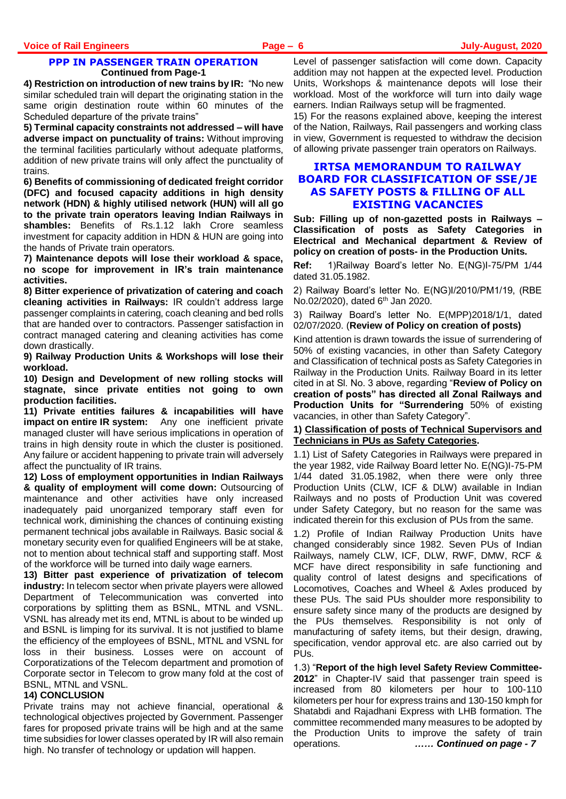#### **PPP IN PASSENGER TRAIN OPERATION Continued from Page-1**

**4) Restriction on introduction of new trains by IR:** "No new similar scheduled train will depart the originating station in the same origin destination route within 60 minutes of the Scheduled departure of the private trains"

**5) Terminal capacity constraints not addressed – will have adverse impact on punctuality of trains:** Without improving the terminal facilities particularly without adequate platforms, addition of new private trains will only affect the punctuality of trains.

**6) Benefits of commissioning of dedicated freight corridor (DFC) and focused capacity additions in high density network (HDN) & highly utilised network (HUN) will all go to the private train operators leaving Indian Railways in shambles:** Benefits of Rs.1.12 lakh Crore seamless investment for capacity addition in HDN & HUN are going into the hands of Private train operators.

**7) Maintenance depots will lose their workload & space, no scope for improvement in IR's train maintenance activities.** 

**8) Bitter experience of privatization of catering and coach cleaning activities in Railways:** IR couldn't address large passenger complaints in catering, coach cleaning and bed rolls that are handed over to contractors. Passenger satisfaction in contract managed catering and cleaning activities has come down drastically.

**9) Railway Production Units & Workshops will lose their workload.**

**10) Design and Development of new rolling stocks will stagnate, since private entities not going to own production facilities.**

**11) Private entities failures & incapabilities will have impact on entire IR system:** Any one inefficient private managed cluster will have serious implications in operation of trains in high density route in which the cluster is positioned. Any failure or accident happening to private train will adversely affect the punctuality of IR trains.

**12) Loss of employment opportunities in Indian Railways & quality of employment will come down:** Outsourcing of maintenance and other activities have only increased inadequately paid unorganized temporary staff even for technical work, diminishing the chances of continuing existing permanent technical jobs available in Railways. Basic social & monetary security even for qualified Engineers will be at stake, not to mention about technical staff and supporting staff. Most of the workforce will be turned into daily wage earners.

**13) Bitter past experience of privatization of telecom industry:** In telecom sector when private players were allowed Department of Telecommunication was converted into corporations by splitting them as BSNL, MTNL and VSNL. VSNL has already met its end, MTNL is about to be winded up and BSNL is limping for its survival. It is not justified to blame the efficiency of the employees of BSNL, MTNL and VSNL for loss in their business. Losses were on account of Corporatizations of the Telecom department and promotion of Corporate sector in Telecom to grow many fold at the cost of BSNL, MTNL and VSNL.

#### **14) CONCLUSION**

Private trains may not achieve financial, operational & technological objectives projected by Government. Passenger fares for proposed private trains will be high and at the same time subsidies for lower classes operated by IR will also remain high. No transfer of technology or updation will happen.

Level of passenger satisfaction will come down. Capacity addition may not happen at the expected level. Production Units, Workshops & maintenance depots will lose their workload. Most of the workforce will turn into daily wage earners. Indian Railways setup will be fragmented.

15) For the reasons explained above, keeping the interest of the Nation, Railways, Rail passengers and working class in view, Government is requested to withdraw the decision of allowing private passenger train operators on Railways.

# **IRTSA MEMORANDUM TO RAILWAY BOARD FOR CLASSIFICATION OF SSE/JE AS SAFETY POSTS & FILLING OF ALL EXISTING VACANCIES**

**Sub: Filling up of non-gazetted posts in Railways – Classification of posts as Safety Categories in Electrical and Mechanical department & Review of policy on creation of posts- in the Production Units.**

**Ref:** 1)Railway Board's letter No. E(NG)I-75/PM 1/44 dated 31.05.1982.

2) Railway Board's letter No. E(NG)I/2010/PM1/19, (RBE No.02/2020), dated  $6<sup>th</sup>$  Jan 2020.

3) Railway Board's letter No. E(MPP)2018/1/1, dated 02/07/2020. (**Review of Policy on creation of posts)**

Kind attention is drawn towards the issue of surrendering of 50% of existing vacancies, in other than Safety Category and Classification of technical posts as Safety Categories in Railway in the Production Units. Railway Board in its letter cited in at Sl. No. 3 above, regarding "**Review of Policy on creation of posts" has directed all Zonal Railways and Production Units for "Surrendering** 50% of existing vacancies, in other than Safety Category".

#### **1) Classification of posts of Technical Supervisors and Technicians in PUs as Safety Categories.**

1.1) List of Safety Categories in Railways were prepared in the year 1982, vide Railway Board letter No. E(NG)I-75-PM 1/44 dated 31.05.1982, when there were only three Production Units (CLW, ICF & DLW) available in Indian Railways and no posts of Production Unit was covered under Safety Category, but no reason for the same was indicated therein for this exclusion of PUs from the same.

1.2) Profile of Indian Railway Production Units have changed considerably since 1982. Seven PUs of Indian Railways, namely CLW, ICF, DLW, RWF, DMW, RCF & MCF have direct responsibility in safe functioning and quality control of latest designs and specifications of Locomotives, Coaches and Wheel & Axles produced by these PUs. The said PUs shoulder more responsibility to ensure safety since many of the products are designed by the PUs themselves. Responsibility is not only of manufacturing of safety items, but their design, drawing, specification, vendor approval etc. are also carried out by PUs.

1.3) "**Report of the high level Safety Review Committee-2012**" in Chapter-IV said that passenger train speed is increased from 80 kilometers per hour to 100-110 kilometers per hour for express trains and 130-150 kmph for Shatabdi and Rajadhani Express with LHB formation. The committee recommended many measures to be adopted by the Production Units to improve the safety of train operations. *…… Continued on page - 7*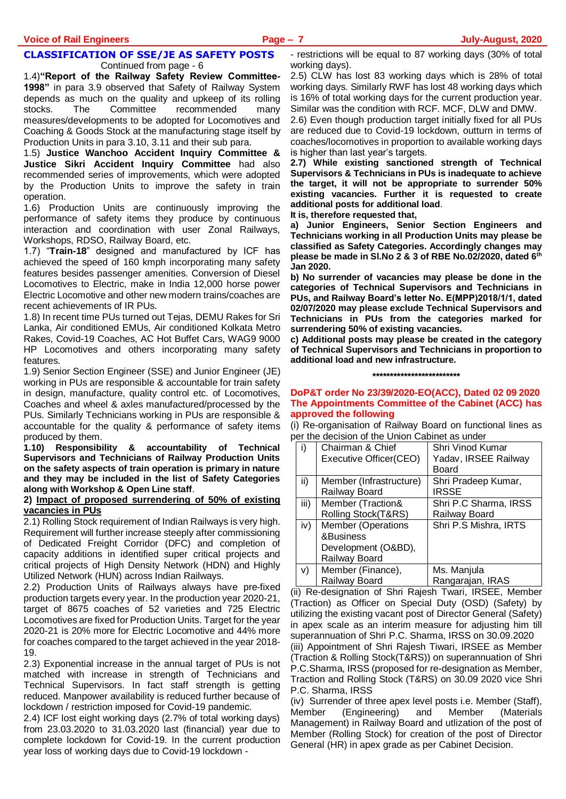# **CLASSIFICATION OF SSE/JE AS SAFETY POSTS**

Continued from page - 6

1.4)**"Report of the Railway Safety Review Committee-1998"** in para 3.9 observed that Safety of Railway System depends as much on the quality and upkeep of its rolling stocks. The Committee recommended many measures/developments to be adopted for Locomotives and Coaching & Goods Stock at the manufacturing stage itself by Production Units in para 3.10, 3.11 and their sub para.

1.5) **Justice Wanchoo Accident Inquiry Committee & Justice Sikri Accident Inquiry Committee** had also recommended series of improvements, which were adopted by the Production Units to improve the safety in train operation.

1.6) Production Units are continuously improving the performance of safety items they produce by continuous interaction and coordination with user Zonal Railways, Workshops, RDSO, Railway Board, etc.

1.7) "**Train-18**" designed and manufactured by ICF has achieved the speed of 160 kmph incorporating many safety features besides passenger amenities. Conversion of Diesel Locomotives to Electric, make in India 12,000 horse power Electric Locomotive and other new modern trains/coaches are recent achievements of IR PUs.

1.8) In recent time PUs turned out Tejas, DEMU Rakes for Sri Lanka, Air conditioned EMUs, Air conditioned Kolkata Metro Rakes, Covid-19 Coaches, AC Hot Buffet Cars, WAG9 9000 HP Locomotives and others incorporating many safety features.

1.9) Senior Section Engineer (SSE) and Junior Engineer (JE) working in PUs are responsible & accountable for train safety in design, manufacture, quality control etc. of Locomotives, Coaches and wheel & axles manufactured/processed by the PUs. Similarly Technicians working in PUs are responsible & accountable for the quality & performance of safety items produced by them.

**1.10) Responsibility & accountability of Technical Supervisors and Technicians of Railway Production Units on the safety aspects of train operation is primary in nature and they may be included in the list of Safety Categories along with Workshop & Open Line staff**.

#### **2) Impact of proposed surrendering of 50% of existing vacancies in PUs**

2.1) Rolling Stock requirement of Indian Railways is very high. Requirement will further increase steeply after commissioning of Dedicated Freight Corridor (DFC) and completion of capacity additions in identified super critical projects and critical projects of High Density Network (HDN) and Highly Utilized Network (HUN) across Indian Railways.

2.2) Production Units of Railways always have pre-fixed production targets every year. In the production year 2020-21, target of 8675 coaches of 52 varieties and 725 Electric Locomotives are fixed for Production Units. Target for the year 2020-21 is 20% more for Electric Locomotive and 44% more for coaches compared to the target achieved in the year 2018- 19.

2.3) Exponential increase in the annual target of PUs is not matched with increase in strength of Technicians and Technical Supervisors. In fact staff strength is getting reduced. Manpower availability is reduced further because of lockdown / restriction imposed for Covid-19 pandemic.

2.4) ICF lost eight working days (2.7% of total working days) from 23.03.2020 to 31.03.2020 last (financial) year due to complete lockdown for Covid-19. In the current production year loss of working days due to Covid-19 lockdown -

- restrictions will be equal to 87 working days (30% of total working days).

2.5) CLW has lost 83 working days which is 28% of total working days. Similarly RWF has lost 48 working days which is 16% of total working days for the current production year. Similar was the condition with RCF. MCF, DLW and DMW.

2.6) Even though production target initially fixed for all PUs are reduced due to Covid-19 lockdown, outturn in terms of coaches/locomotives in proportion to available working days is higher than last year's targets.

**2.7) While existing sanctioned strength of Technical Supervisors & Technicians in PUs is inadequate to achieve the target, it will not be appropriate to surrender 50% existing vacancies. Further it is requested to create additional posts for additional load**.

**It is, therefore requested that,**

**a) Junior Engineers, Senior Section Engineers and Technicians working in all Production Units may please be classified as Safety Categories. Accordingly changes may please be made in Sl.No 2 & 3 of RBE No.02/2020, dated 6th Jan 2020.**

**b) No surrender of vacancies may please be done in the categories of Technical Supervisors and Technicians in PUs, and Railway Board's letter No. E(MPP)2018/1/1, dated 02/07/2020 may please exclude Technical Supervisors and Technicians in PUs from the categories marked for surrendering 50% of existing vacancies.**

**c) Additional posts may please be created in the category of Technical Supervisors and Technicians in proportion to additional load and new infrastructure.** 

**\*\*\*\*\*\*\*\*\*\*\*\*\*\*\*\*\*\*\*\*\*\*\*\*\***

#### **DoP&T order No 23/39/2020-EO(ACC), Dated 02 09 2020 The Appointments Committee of the Cabinet (ACC) has approved the following**

(i) Re-organisation of Railway Board on functional lines as per the decision of the Union Cabinet as under

| I)   | Chairman & Chief          | Shri Vinod Kumar      |
|------|---------------------------|-----------------------|
|      | Executive Officer(CEO)    | Yadav, IRSEE Railway  |
|      |                           | Board                 |
| ii)  | Member (Infrastructure)   | Shri Pradeep Kumar,   |
|      | Railway Board             | <b>IRSSE</b>          |
| iii) | Member (Traction&         | Shri P.C Sharma, IRSS |
|      | Rolling Stock(T&RS)       | Railway Board         |
| iv)  | <b>Member (Operations</b> | Shri P.S Mishra, IRTS |
|      | &Business                 |                       |
|      | Development (O&BD),       |                       |
|      | Railway Board             |                       |
| V)   | Member (Finance),         | Ms. Manjula           |
|      | Railway Board             | Rangarajan, IRAS      |

(ii) Re-designation of Shri Rajesh Twari, IRSEE, Member (Traction) as Officer on Special Duty (OSD) (Safety) by utilizing the existing vacant post of Director General (Safety) in apex scale as an interim measure for adjusting him till superannuation of Shri P.C. Sharma, IRSS on 30.09.2020

(iii) Appointment of Shri Rajesh Tiwari, IRSEE as Member (Traction & Rolling Stock(T&RS)) on superannuation of Shri P.C.Sharma, IRSS (proposed for re-designation as Member, Traction and Rolling Stock (T&RS) on 30.09 2020 vice Shri P.C. Sharma, IRSS

(iv) Surrender of three apex level posts i.e. Member (Staff), Member (Engineering) and Member (Materials Management) in Railway Board and utlization of the post of Member (Rolling Stock) for creation of the post of Director General (HR) in apex grade as per Cabinet Decision.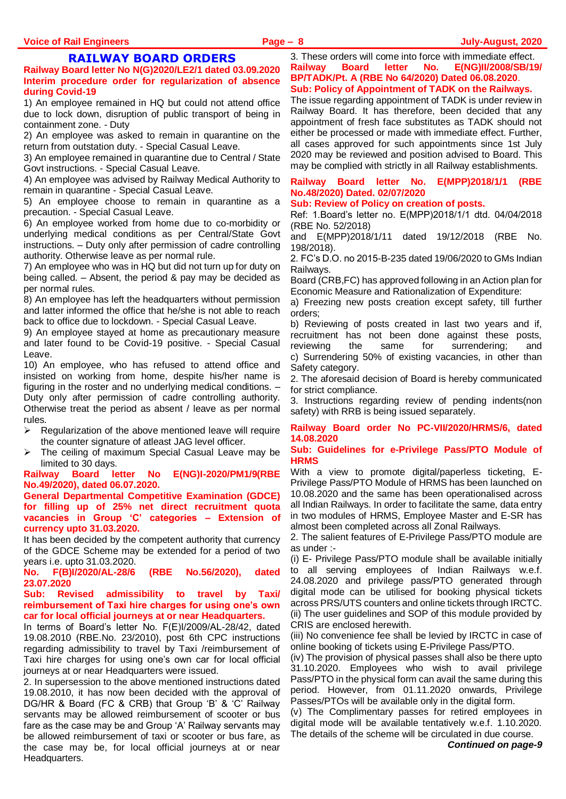# **RAILWAY BOARD ORDERS**

**Railway Board letter No N(G)2020/LE2/1 dated 03.09.2020 Interim procedure order for regularization of absence during Covid-19**

1) An employee remained in HQ but could not attend office due to lock down, disruption of public transport of being in containment zone. - Duty

2) An employee was asked to remain in quarantine on the return from outstation duty. - Special Casual Leave.

3) An employee remained in quarantine due to Central / State Govt instructions. - Special Casual Leave.

4) An employee was advised by Railway Medical Authority to remain in quarantine - Special Casual Leave.

5) An employee choose to remain in quarantine as a precaution. - Special Casual Leave.

6) An employee worked from home due to co-morbidity or underlying medical conditions as per Central/State Govt instructions. – Duty only after permission of cadre controlling authority. Otherwise leave as per normal rule.

7) An employee who was in HQ but did not turn up for duty on being called. – Absent, the period & pay may be decided as per normal rules.

8) An employee has left the headquarters without permission and latter informed the office that he/she is not able to reach back to office due to lockdown. - Special Casual Leave.

9) An employee stayed at home as precautionary measure and later found to be Covid-19 positive. - Special Casual Leave.

10) An employee, who has refused to attend office and insisted on working from home, despite his/her name is figuring in the roster and no underlying medical conditions. – Duty only after permission of cadre controlling authority. Otherwise treat the period as absent / leave as per normal rules.

- $\triangleright$  Regularization of the above mentioned leave will require the counter signature of atleast JAG level officer.
- The ceiling of maximum Special Casual Leave may be limited to 30 days.

**Railway Board letter No E(NG)I-2020/PM1/9(RBE No.49/2020), dated 06.07.2020.**

**General Departmental Competitive Examination (GDCE) for filling up of 25% net direct recruitment quota vacancies in Group 'C' categories – Extension of currency upto 31.03.2020.**

It has been decided by the competent authority that currency of the GDCE Scheme may be extended for a period of two years i.e. upto 31.03.2020.

**No. F(B)I/2020/AL-28/6 (RBE No.56/2020), dated 23.07.2020**

**Sub: Revised admissibility to travel by Taxi/ reimbursement of Taxi hire charges for using one's own car for local official journeys at or near Headquarters.**

In terms of Board's letter No. F(E)I/2009/AL-28/42, dated 19.08.2010 (RBE.No. 23/2010), post 6th CPC instructions regarding admissibility to travel by Taxi /reimbursement of Taxi hire charges for using one's own car for local official journeys at or near Headquarters were issued.

2. In supersession to the above mentioned instructions dated 19.08.2010, it has now been decided with the approval of DG/HR & Board (FC & CRB) that Group 'B' & 'C' Railway servants may be allowed reimbursement of scooter or bus fare as the case may be and Group 'A' Railway servants may be allowed reimbursement of taxi or scooter or bus fare, as the case may be, for local official journeys at or near Headquarters.

3. These orders will come into force with immediate effect. **Railway Board letter No. E(NG)II/2008/SB/19/ BP/TADK/Pt. A (RBE No 64/2020) Dated 06.08.2020**. **Sub: Policy of Appointment of TADK on the Railways.**

The issue regarding appointment of TADK is under review in Railway Board. It has therefore, been decided that any appointment of fresh face substitutes as TADK should not either be processed or made with immediate effect. Further, all cases approved for such appointments since 1st July 2020 may be reviewed and position advised to Board. This may be complied with strictly in all Railway establishments.

# **Railway Board letter No. E(MPP)2018/1/1 (RBE No.48/2020) Dated. 02/07/2020**

#### **Sub: Review of Policy on creation of posts.**

Ref: 1.Board's letter no. E(MPP)2018/1/1 dtd. 04/04/2018 (RBE No. 52/2018)

and E(MPP)2018/1/11 dated 19/12/2018 (RBE No. 198/2018).

2. FC's D.O. no 2015-B-235 dated 19/06/2020 to GMs Indian Railways.

Board (CRB,FC) has approved following in an Action plan for Economic Measure and Rationalization of Expenditure:

a) Freezing new posts creation except safety, till further orders;

b) Reviewing of posts created in last two years and if, recruitment has not been done against these posts, reviewing the same for surrendering; and c) Surrendering 50% of existing vacancies, in other than Safety category.

2. The aforesaid decision of Board is hereby communicated for strict compliance.

3. Instructions regarding review of pending indents(non safety) with RRB is being issued separately.

#### **Railway Board order No PC-VII/2020/HRMS/6, dated 14.08.2020**

**Sub: Guidelines for e-Privilege Pass/PTO Module of HRMS**

With a view to promote digital/paperless ticketing, E-Privilege Pass/PTO Module of HRMS has been launched on 10.08.2020 and the same has been operationalised across all Indian Railways. In order to facilitate the same, data entry in two modules of HRMS, Employee Master and E-SR has almost been completed across all Zonal Railways.

2. The salient features of E-Privilege Pass/PTO module are as under :-

(i) E- Privilege Pass/PTO module shall be available initially to all serving employees of Indian Railways w.e.f. 24.08.2020 and privilege pass/PTO generated through digital mode can be utilised for booking physical tickets across PRS/UTS counters and online tickets through IRCTC. (ii) The user guidelines and SOP of this module provided by CRIS are enclosed herewith.

(iii) No convenience fee shall be levied by IRCTC in case of online booking of tickets using E-Privilege Pass/PTO.

(iv) The provision of physical passes shall also be there upto 31.10.2020. Employees who wish to avail privilege Pass/PTO in the physical form can avail the same during this period. However, from 01.11.2020 onwards, Privilege Passes/PTOs will be available only in the digital form.

(v) The Complimentary passes for retired employees in digital mode will be available tentatively w.e.f. 1.10.2020. The details of the scheme will be circulated in due course.

*Continued on page-9*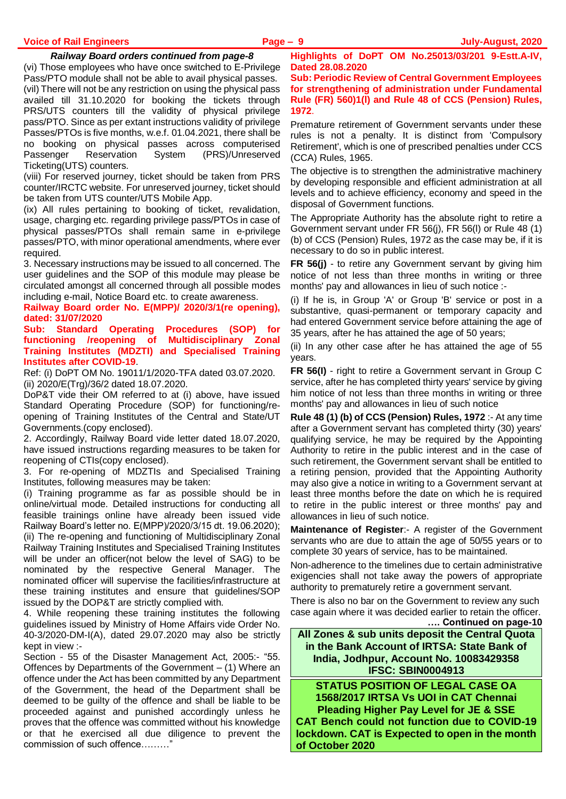#### *Railway Board orders continued from page-8*

(vi) Those employees who have once switched to E-Privilege Pass/PTO module shall not be able to avail physical passes. (vil) There will not be any restriction on using the physical pass availed till 31.10.2020 for booking the tickets through PRS/UTS counters till the validity of physical privilege pass/PTO. Since as per extant instructions validity of privilege Passes/PTOs is five months, w.e.f. 01.04.2021, there shall be no booking on physical passes across computerised Passenger Reservation System (PRS)/Unreserved Ticketing(UTS) counters.

(viii) For reserved journey, ticket should be taken from PRS counter/IRCTC website. For unreserved journey, ticket should be taken from UTS counter/UTS Mobile App.

(ix) All rules pertaining to booking of ticket, revalidation, usage, charging etc. regarding privilege pass/PTOs in case of physical passes/PTOs shall remain same in e-privilege passes/PTO, with minor operational amendments, where ever required.

3. Necessary instructions may be issued to all concerned. The user guidelines and the SOP of this module may please be circulated amongst all concerned through all possible modes including e-mail, Notice Board etc. to create awareness.

**Railway Board order No. E(MPP)/ 2020/3/1(re opening), dated: 31/07/2020**

**Sub: Standard Operating Procedures (SOP) for functioning /reopening of Multidisciplinary Zonal Training Institutes (MDZTI) and Specialised Training Institutes after COVID-19**.

Ref: (i) DoPT OM No. 19011/1/2020-TFA dated 03.07.2020. (ii) 2020/E(Trg)/36/2 dated 18.07.2020.

DoP&T vide their OM referred to at (i) above, have issued Standard Operating Procedure (SOP) for functioning/reopening of Training Institutes of the Central and State/UT Governments.(copy enclosed).

2. Accordingly, Railway Board vide letter dated 18.07.2020, have issued instructions regarding measures to be taken for reopening of CTIs(copy enclosed).

3. For re-opening of MDZTIs and Specialised Training Institutes, following measures may be taken:

(i) Training programme as far as possible should be in online/virtual mode. Detailed instructions for conducting all feasible trainings online have already been issued vide Railway Board's letter no. E(MPP)/2020/3/15 dt. 19.06.2020); (ii) The re-opening and functioning of Multidisciplinary Zonal Railway Training Institutes and Specialised Training Institutes will be under an officer(not below the level of SAG) to be nominated by the respective General Manager. The nominated officer will supervise the facilities/infrastructure at these training institutes and ensure that guidelines/SOP issued by the DOP&T are strictly complied with.

4. While reopening these training institutes the following guidelines issued by Ministry of Home Affairs vide Order No. 40-3/2020-DM-I(A), dated 29.07.2020 may also be strictly kept in view :-

Section - 55 of the Disaster Management Act, 2005:- "55. Offences by Departments of the Government – (1) Where an offence under the Act has been committed by any Department of the Government, the head of the Department shall be deemed to be guilty of the offence and shall be liable to be proceeded against and punished accordingly unless he proves that the offence was committed without his knowledge or that he exercised all due diligence to prevent the commission of such offence………"

**Highlights of DoPT OM No.25013/03/201 9-Estt.A-IV, Dated 28.08.2020**

**Sub: Periodic Review of Central Government Employees for strengthening of administration under Fundamental Rule (FR) 560)1(l) and Rule 48 of CCS (Pension) Rules, 1972**.

Premature retirement of Government servants under these rules is not a penalty. It is distinct from 'Compulsory Retirement', which is one of prescribed penalties under CCS (CCA) Rules, 1965.

The objective is to strengthen the administrative machinery by developing responsible and efficient administration at all levels and to achieve efficiency, economy and speed in the disposal of Government functions.

The Appropriate Authority has the absolute right to retire a Government servant under FR 56(j), FR 56(l) or Rule 48 (1) (b) of CCS (Pension) Rules, 1972 as the case may be, if it is necessary to do so in public interest.

**FR 56(j)** - to retire any Government servant by giving him notice of not less than three months in writing or three months' pay and allowances in lieu of such notice :-

(i) If he is, in Group 'A' or Group 'B' service or post in a substantive, quasi-permanent or temporary capacity and had entered Government service before attaining the age of 35 years, after he has attained the age of 50 years;

(ii) In any other case after he has attained the age of 55 years.

**FR 56(I)** - right to retire a Government servant in Group C service, after he has completed thirty years' service by giving him notice of not less than three months in writing or three months' pay and allowances in lieu of such notice

**Rule 48 (1) (b) of CCS (Pension) Rules, 1972** :- At any time after a Government servant has completed thirty (30) years' qualifying service, he may be required by the Appointing Authority to retire in the public interest and in the case of such retirement, the Government servant shall be entitled to a retiring pension, provided that the Appointing Authority may also give a notice in writing to a Government servant at least three months before the date on which he is required to retire in the public interest or three months' pay and allowances in lieu of such notice.

**Maintenance of Register**:- A register of the Government servants who are due to attain the age of 50/55 years or to complete 30 years of service, has to be maintained.

Non-adherence to the timelines due to certain administrative exigencies shall not take away the powers of appropriate authority to prematurely retire a government servant.

There is also no bar on the Government to review any such case again where it was decided earlier to retain the officer. **…. Continued on page-10**

**All Zones & sub units deposit the Central Quota in the Bank Account of IRTSA: State Bank of India, Jodhpur, Account No. 10083429358 IFSC: SBIN0004913**

**STATUS POSITION OF LEGAL CASE OA 1568/2017 IRTSA Vs UOI in CAT Chennai Pleading Higher Pay Level for JE & SSE CAT Bench could not function due to COVID-19 lockdown. CAT is Expected to open in the month of October 2020**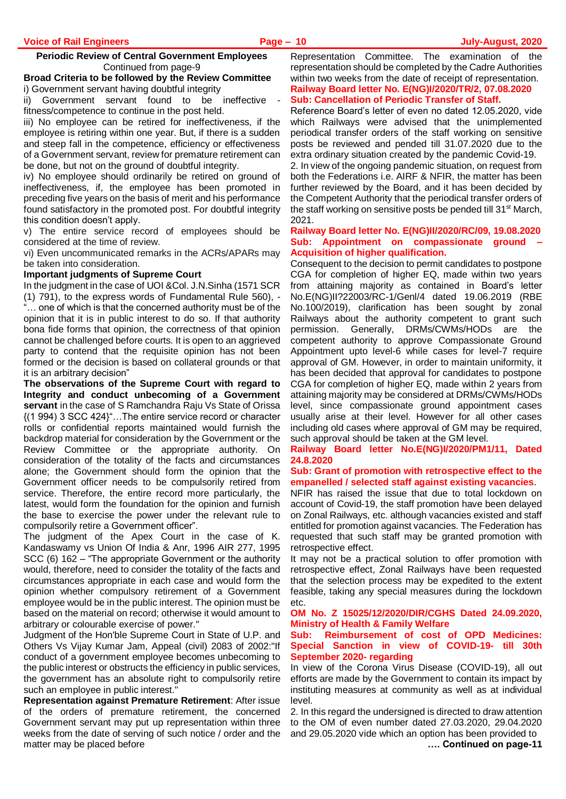### **Periodic Review of Central Government Employees** Continued from page-9

### **Broad Criteria to be followed by the Review Committee** i) Government servant having doubtful integrity

 $\overline{ii}$ ) Government servant found to be ineffective fitness/competence to continue in the post held.

iii) No employee can be retired for ineffectiveness, if the employee is retiring within one year. But, if there is a sudden and steep fall in the competence, efficiency or effectiveness of a Government servant, review for premature retirement can be done, but not on the ground of doubtful integrity.

iv) No employee should ordinarily be retired on ground of ineffectiveness, if, the employee has been promoted in preceding five years on the basis of merit and his performance found satisfactory in the promoted post. For doubtful integrity this condition doesn't apply.

v) The entire service record of employees should be considered at the time of review.

vi) Even uncommunicated remarks in the ACRs/APARs may be taken into consideration.

# **Important judgments of Supreme Court**

In the judgment in the case of UOI &Col. J.N.Sinha (1571 SCR (1) 791), to the express words of Fundamental Rule 560), - ... one of which is that the concerned authority must be of the opinion that it is in public interest to do so. If that authority bona fide forms that opinion, the correctness of that opinion cannot be challenged before courts. It is open to an aggrieved party to contend that the requisite opinion has not been formed or the decision is based on collateral grounds or that it is an arbitrary decision"

**The observations of the Supreme Court with regard to Integrity and conduct unbecoming of a Government servant** in the case of S Ramchandra Raju Vs State of Orissa {(1 994) 3 SCC 424}"…The entire service record or character rolls or confidential reports maintained would furnish the backdrop material for consideration by the Government or the Review Committee or the appropriate authority. On consideration of the totality of the facts and circumstances alone; the Government should form the opinion that the Government officer needs to be compulsorily retired from service. Therefore, the entire record more particularly, the latest, would form the foundation for the opinion and furnish the base to exercise the power under the relevant rule to compulsorily retire a Government officer".

The judgment of the Apex Court in the case of K. Kandaswamy vs Union Of India & Anr, 1996 AIR 277, 1995 SCC (6) 162 – "The appropriate Government or the authority would, therefore, need to consider the totality of the facts and circumstances appropriate in each case and would form the opinion whether compulsory retirement of a Government employee would be in the public interest. The opinion must be based on the material on record; otherwise it would amount to arbitrary or colourable exercise of power."

Judgment of the Hon'ble Supreme Court in State of U.P. and Others Vs Vijay Kumar Jam, Appeal (civil) 2083 of 2002:"If conduct of a government employee becomes unbecoming to the public interest or obstructs the efficiency in public services, the government has an absolute right to compulsorily retire such an employee in public interest."

**Representation against Premature Retirement**: After issue of the orders of premature retirement, the concerned Government servant may put up representation within three weeks from the date of serving of such notice / order and the matter may be placed before

Representation Committee. The examination of the representation should be completed by the Cadre Authorities within two weeks from the date of receipt of representation. **Railway Board letter No. E(NG)I/2020/TR/2, 07.08.2020 Sub: Cancellation of Periodic Transfer of Staff.**

Reference Board's letter of even no dated 12.05.2020, vide which Railways were advised that the unimplemented periodical transfer orders of the staff working on sensitive posts be reviewed and pended till 31.07.2020 due to the extra ordinary situation created by the pandemic Covid-19.

2. In view of the ongoing pandemic situation, on request from both the Federations i.e. AIRF & NFIR, the matter has been further reviewed by the Board, and it has been decided by the Competent Authority that the periodical transfer orders of the staff working on sensitive posts be pended till 31<sup>st</sup> March, 2021.

#### **Railway Board letter No. E(NG)II/2020/RC/09, 19.08.2020 Sub: Appointment on compassionate ground – Acquisition of higher qualification.**

Consequent to the decision to permit candidates to postpone CGA for completion of higher EQ, made within two years from attaining majority as contained in Board's letter No.E(NG)II?22003/RC-1/Genl/4 dated 19.06.2019 (RBE No.100/2019), clarification has been sought by zonal Railways about the authority competent to grant such permission. Generally, DRMs/CWMs/HODs are the competent authority to approve Compassionate Ground Appointment upto level-6 while cases for level-7 require approval of GM. However, in order to maintain uniformity, it has been decided that approval for candidates to postpone CGA for completion of higher EQ, made within 2 years from attaining majority may be considered at DRMs/CWMs/HODs level, since compassionate ground appointment cases usually arise at their level. However for all other cases including old cases where approval of GM may be required, such approval should be taken at the GM level.

**Railway Board letter No.E(NG)I/2020/PM1/11, Dated 24.8.2020**

### **Sub: Grant of promotion with retrospective effect to the empanelled / selected staff against existing vacancies**.

NFIR has raised the issue that due to total lockdown on account of Covid-19, the staff promotion have been delayed on Zonal Railways, etc. although vacancies existed and staff entitled for promotion against vacancies. The Federation has requested that such staff may be granted promotion with retrospective effect.

It may not be a practical solution to offer promotion with retrospective effect, Zonal Railways have been requested that the selection process may be expedited to the extent feasible, taking any special measures during the lockdown etc.

### **OM No. Z 15025/12/2020/DIR/CGHS Dated 24.09.2020, Ministry of Health & Family Welfare**

#### **Sub: Reimbursement of cost of OPD Medicines: Special Sanction in view of COVID-19- till 30th September 2020- regarding**

In view of the Corona Virus Disease (COVID-19), all out efforts are made by the Government to contain its impact by instituting measures at community as well as at individual level.

2. In this regard the undersigned is directed to draw attention to the OM of even number dated 27.03.2020, 29.04.2020 and 29.05.2020 vide which an option has been provided to **…. Continued on page-11**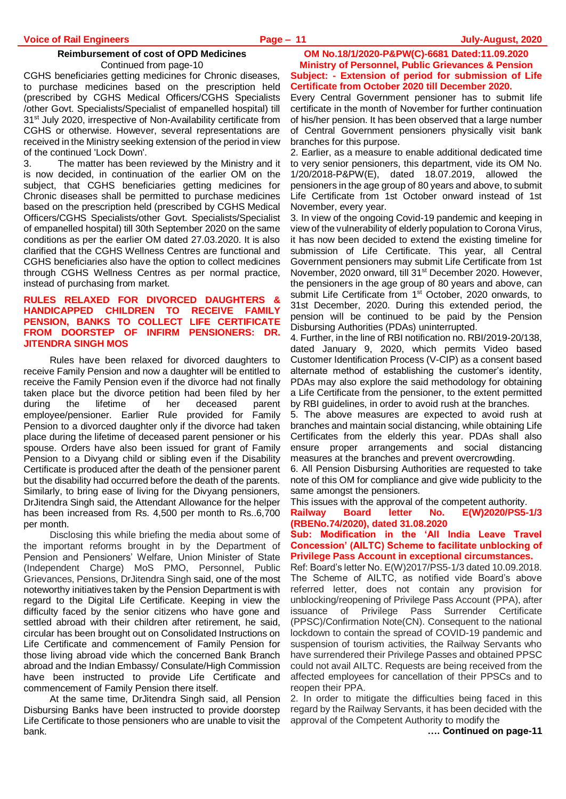#### **Reimbursement of cost of OPD Medicines** Continued from page-10

CGHS beneficiaries getting medicines for Chronic diseases, to purchase medicines based on the prescription held (prescribed by CGHS Medical Officers/CGHS Specialists /other Govt. Specialists/Specialist of empanelled hospital) till 31<sup>st</sup> July 2020, irrespective of Non-Availability certificate from CGHS or otherwise. However, several representations are received in the Ministry seeking extension of the period in view of the continued 'Lock Down'.

3. The matter has been reviewed by the Ministry and it is now decided, in continuation of the earlier OM on the subject, that CGHS beneficiaries getting medicines for Chronic diseases shall be permitted to purchase medicines based on the prescription held (prescribed by CGHS Medical Officers/CGHS Specialists/other Govt. Specialists/Specialist of empanelled hospital) till 30th September 2020 on the same conditions as per the earlier OM dated 27.03.2020. It is also clarified that the CGHS Wellness Centres are functional and CGHS beneficiaries also have the option to collect medicines through CGHS Wellness Centres as per normal practice, instead of purchasing from market.

#### **RULES RELAXED FOR DIVORCED DAUGHTERS & HANDICAPPED CHILDREN TO RECEIVE FAMILY PENSION, BANKS TO COLLECT LIFE CERTIFICATE FROM DOORSTEP OF INFIRM PENSIONERS: DR. JITENDRA SINGH MOS**

Rules have been relaxed for divorced daughters to receive Family Pension and now a daughter will be entitled to receive the Family Pension even if the divorce had not finally taken place but the divorce petition had been filed by her during the lifetime of her deceased parent employee/pensioner. Earlier Rule provided for Family Pension to a divorced daughter only if the divorce had taken place during the lifetime of deceased parent pensioner or his spouse. Orders have also been issued for grant of Family Pension to a Divyang child or sibling even if the Disability Certificate is produced after the death of the pensioner parent but the disability had occurred before the death of the parents. Similarly, to bring ease of living for the Divyang pensioners, DrJitendra Singh said, the Attendant Allowance for the helper has been increased from Rs. 4,500 per month to Rs..6,700 per month.

Disclosing this while briefing the media about some of the important reforms brought in by the Department of Pension and Pensioners' Welfare, Union Minister of State (Independent Charge) MoS PMO, Personnel, Public Grievances, Pensions, DrJitendra Singh said, one of the most noteworthy initiatives taken by the Pension Department is with regard to the Digital Life Certificate. Keeping in view the difficulty faced by the senior citizens who have gone and settled abroad with their children after retirement, he said, circular has been brought out on Consolidated Instructions on Life Certificate and commencement of Family Pension for those living abroad vide which the concerned Bank Branch abroad and the Indian Embassy/ Consulate/High Commission have been instructed to provide Life Certificate and commencement of Family Pension there itself.

At the same time, DrJitendra Singh said, all Pension Disbursing Banks have been instructed to provide doorstep Life Certificate to those pensioners who are unable to visit the bank.

#### **OM No.18/1/2020-P&PW(C)-6681 Dated:11.09.2020 Ministry of Personnel, Public Grievances & Pension Subject: - Extension of period for submission of Life Certificate from October 2020 till December 2020.**

Every Central Government pensioner has to submit life certificate in the month of November for further continuation of his/her pension. It has been observed that a large number of Central Government pensioners physically visit bank branches for this purpose.

2. Earlier, as a measure to enable additional dedicated time to very senior pensioners, this department, vide its OM No. 1/20/2018-P&PW(E), dated 18.07.2019, allowed the pensioners in the age group of 80 years and above, to submit Life Certificate from 1st October onward instead of 1st November, every year.

3. In view of the ongoing Covid-19 pandemic and keeping in view of the vulnerability of elderly population to Corona Virus, it has now been decided to extend the existing timeline for submission of Life Certificate. This year, all Central Government pensioners may submit Life Certificate from 1st November, 2020 onward, till 31<sup>st</sup> December 2020. However, the pensioners in the age group of 80 years and above, can submit Life Certificate from 1<sup>st</sup> October, 2020 onwards, to 31st December, 2020. During this extended period, the pension will be continued to be paid by the Pension Disbursing Authorities (PDAs) uninterrupted.

4. Further, in the line of RBI notification no. RBI/2019-20/138, dated January 9, 2020, which permits Video based Customer Identification Process (V-CIP) as a consent based alternate method of establishing the customer's identity, PDAs may also explore the said methodology for obtaining a Life Certificate from the pensioner, to the extent permitted by RBI guidelines, in order to avoid rush at the branches.

5. The above measures are expected to avoid rush at branches and maintain social distancing, while obtaining Life Certificates from the elderly this year. PDAs shall also ensure proper arrangements and social distancing measures at the branches and prevent overcrowding.

6. All Pension Disbursing Authorities are requested to take note of this OM for compliance and give wide publicity to the same amongst the pensioners.

This issues with the approval of the competent authority.

**Railway Board letter No. E(W)2020/PS5-1/3 (RBENo.74/2020), dated 31.08.2020**

**Sub: Modification in the 'All India Leave Travel Concession' (AILTC) Scheme to facilitate unblocking of Privilege Pass Account in exceptional circumstances.**

Ref: Board's letter No. E(W)2017/PS5-1/3 dated 10.09.2018. The Scheme of AILTC, as notified vide Board's above referred letter, does not contain any provision for unblocking/reopening of Privilege Pass Account (PPA), after issuance of Privilege Pass Surrender Certificate (PPSC)/Confirmation Note(CN). Consequent to the national lockdown to contain the spread of COVID-19 pandemic and suspension of tourism activities, the Railway Servants who have surrendered their Privilege Passes and obtained PPSC could not avail AILTC. Requests are being received from the affected employees for cancellation of their PPSCs and to reopen their PPA.

2. In order to mitigate the difficulties being faced in this regard by the Railway Servants, it has been decided with the approval of the Competent Authority to modify the

**…. Continued on page-11**